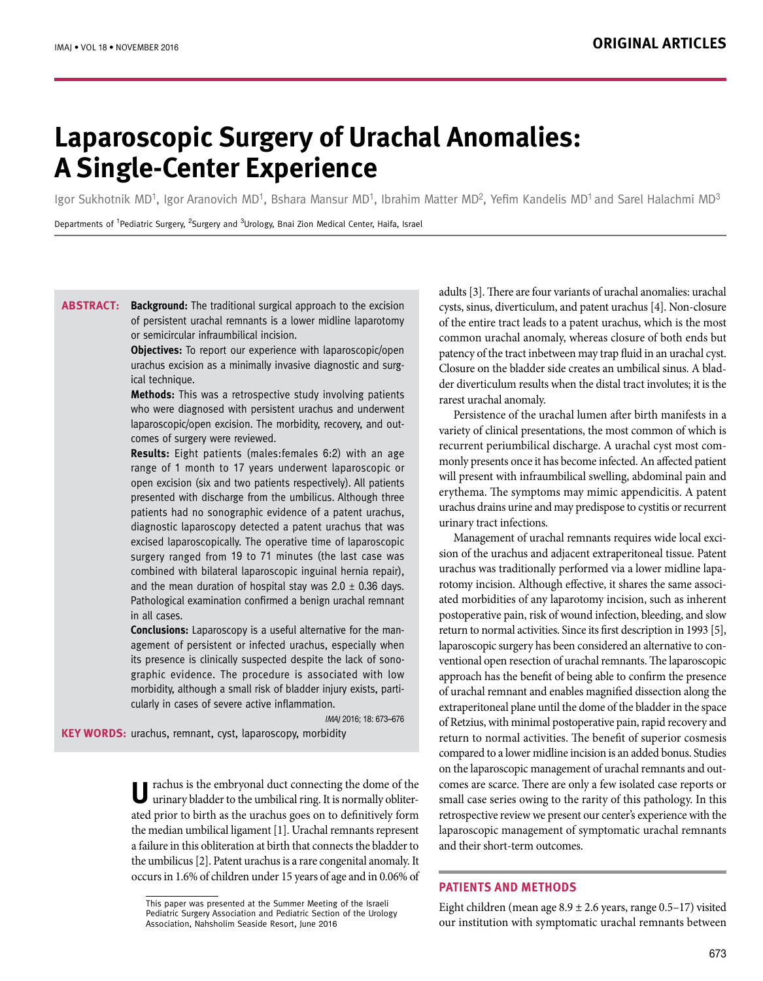# **Laparoscopic Surgery of Urachal Anomalies: A Single-Center Experience**

Igor Sukhotnik MD<sup>1</sup>, Igor Aranovich MD<sup>1</sup>, Bshara Mansur MD<sup>1</sup>, Ibrahim Matter MD<sup>2</sup>, Yefim Kandelis MD<sup>1</sup> and Sarel Halachmi MD<sup>3</sup>

Departments of <sup>1</sup>Pediatric Surgery, <sup>2</sup>Surgery and <sup>3</sup>Urology, Bnai Zion Medical Center, Haifa, Israel

**ABSTRACT:** Background: The traditional surgical approach to the excision of persistent urachal remnants is a lower midline laparotomy or semicircular infraumbilical incision.

> **Objectives:** To report our experience with laparoscopic/open urachus excision as a minimally invasive diagnostic and surgical technique.

> **Methods:** This was a retrospective study involving patients who were diagnosed with persistent urachus and underwent laparoscopic/open excision. The morbidity, recovery, and outcomes of surgery were reviewed.

> **Results:** Eight patients (males:females 6:2) with an age range of 1 month to 17 years underwent laparoscopic or open excision (six and two patients respectively). All patients presented with discharge from the umbilicus. Although three patients had no sonographic evidence of a patent urachus, diagnostic laparoscopy detected a patent urachus that was excised laparoscopically. The operative time of laparoscopic surgery ranged from 19 to 71 minutes (the last case was combined with bilateral laparoscopic inguinal hernia repair), and the mean duration of hospital stay was  $2.0 \pm 0.36$  days. Pathological examination confirmed a benign urachal remnant in all cases.

> **Conclusions:** Laparoscopy is a useful alternative for the management of persistent or infected urachus, especially when its presence is clinically suspected despite the lack of sonographic evidence. The procedure is associated with low morbidity, although a small risk of bladder injury exists, particularly in cases of severe active inflammation.

> > IMAJ 2016; 18: 673–676

KEY WORDS: urachus, remnant, cyst, laparoscopy, morbidity

U rachus is the embryonal duct connecting the dome of the urinary bladder to the umbilical ring. It is normally obliterated prior to birth as the urachus goes on to definitively form the median umbilical ligament [1]. Urachal remnants represent a failure in this obliteration at birth that connects the bladder to the umbilicus [2]. Patent urachus is a rare congenital anomaly. It occurs in 1.6% of children under 15 years of age and in 0.06% of

adults [3]. There are four variants of urachal anomalies: urachal cysts, sinus, diverticulum, and patent urachus [4]. Non-closure of the entire tract leads to a patent urachus, which is the most common urachal anomaly, whereas closure of both ends but patency of the tract inbetween may trap fluid in an urachal cyst. Closure on the bladder side creates an umbilical sinus. A bladder diverticulum results when the distal tract involutes; it is the rarest urachal anomaly.

Persistence of the urachal lumen after birth manifests in a variety of clinical presentations, the most common of which is recurrent periumbilical discharge. A urachal cyst most commonly presents once it has become infected. An affected patient will present with infraumbilical swelling, abdominal pain and erythema. The symptoms may mimic appendicitis. A patent urachus drains urine and may predispose to cystitis or recurrent urinary tract infections.

Management of urachal remnants requires wide local excision of the urachus and adjacent extraperitoneal tissue. Patent urachus was traditionally performed via a lower midline laparotomy incision. Although effective, it shares the same associated morbidities of any laparotomy incision, such as inherent postoperative pain, risk of wound infection, bleeding, and slow return to normal activities. Since its first description in 1993 [5], laparoscopic surgery has been considered an alternative to conventional open resection of urachal remnants. The laparoscopic approach has the benefit of being able to confirm the presence of urachal remnant and enables magnified dissection along the extraperitoneal plane until the dome of the bladder in the space of Retzius, with minimal postoperative pain, rapid recovery and return to normal activities. The benefit of superior cosmesis compared to a lower midline incision is an added bonus. Studies on the laparoscopic management of urachal remnants and outcomes are scarce. There are only a few isolated case reports or small case series owing to the rarity of this pathology. In this retrospective review we present our center's experience with the laparoscopic management of symptomatic urachal remnants and their short-term outcomes.

## **PATIENTS AND METHODS**

Eight children (mean age  $8.9 \pm 2.6$  years, range  $0.5-17$ ) visited our institution with symptomatic urachal remnants between

This paper was presented at the Summer Meeting of the Israeli Pediatric Surgery Association and Pediatric Section of the Urology Association, Nahsholim Seaside Resort, June 2016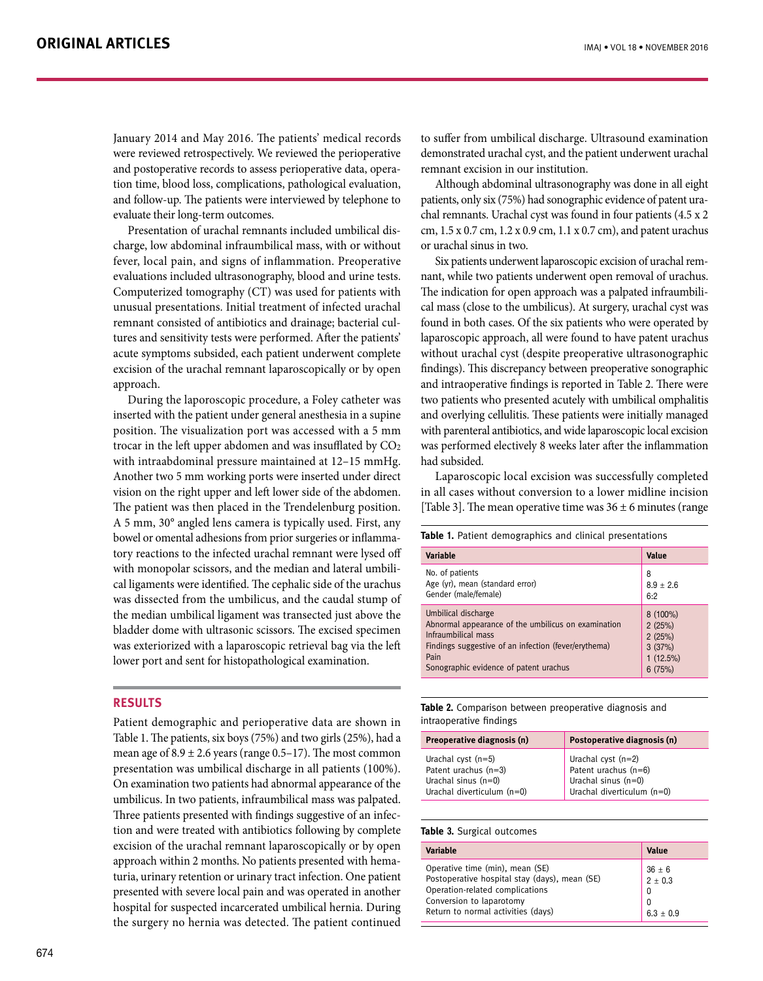January 2014 and May 2016. The patients' medical records were reviewed retrospectively. We reviewed the perioperative and postoperative records to assess perioperative data, operation time, blood loss, complications, pathological evaluation, and follow-up. The patients were interviewed by telephone to evaluate their long-term outcomes.

Presentation of urachal remnants included umbilical discharge, low abdominal infraumbilical mass, with or without fever, local pain, and signs of inflammation. Preoperative evaluations included ultrasonography, blood and urine tests. Computerized tomography (CT) was used for patients with unusual presentations. Initial treatment of infected urachal remnant consisted of antibiotics and drainage; bacterial cultures and sensitivity tests were performed. After the patients' acute symptoms subsided, each patient underwent complete excision of the urachal remnant laparoscopically or by open approach.

During the laporoscopic procedure, a Foley catheter was inserted with the patient under general anesthesia in a supine position. The visualization port was accessed with a 5 mm trocar in the left upper abdomen and was insufflated by CO2 with intraabdominal pressure maintained at 12–15 mmHg. Another two 5 mm working ports were inserted under direct vision on the right upper and left lower side of the abdomen. The patient was then placed in the Trendelenburg position. A 5 mm, 30° angled lens camera is typically used. First, any bowel or omental adhesions from prior surgeries or inflammatory reactions to the infected urachal remnant were lysed off with monopolar scissors, and the median and lateral umbilical ligaments were identified. The cephalic side of the urachus was dissected from the umbilicus, and the caudal stump of the median umbilical ligament was transected just above the bladder dome with ultrasonic scissors. The excised specimen was exteriorized with a laparoscopic retrieval bag via the left lower port and sent for histopathological examination.

# **RESULTS**

Patient demographic and perioperative data are shown in Table 1. The patients, six boys (75%) and two girls (25%), had a mean age of  $8.9 \pm 2.6$  years (range 0.5–17). The most common presentation was umbilical discharge in all patients (100%). On examination two patients had abnormal appearance of the umbilicus. In two patients, infraumbilical mass was palpated. Three patients presented with findings suggestive of an infection and were treated with antibiotics following by complete excision of the urachal remnant laparoscopically or by open approach within 2 months. No patients presented with hematuria, urinary retention or urinary tract infection. One patient presented with severe local pain and was operated in another hospital for suspected incarcerated umbilical hernia. During the surgery no hernia was detected. The patient continued to suffer from umbilical discharge. Ultrasound examination demonstrated urachal cyst, and the patient underwent urachal remnant excision in our institution.

Although abdominal ultrasonography was done in all eight patients, only six (75%) had sonographic evidence of patent urachal remnants. Urachal cyst was found in four patients (4.5 x 2 cm, 1.5 x 0.7 cm, 1.2 x 0.9 cm, 1.1 x 0.7 cm), and patent urachus or urachal sinus in two.

Six patients underwent laparoscopic excision of urachal remnant, while two patients underwent open removal of urachus. The indication for open approach was a palpated infraumbilical mass (close to the umbilicus). At surgery, urachal cyst was found in both cases. Of the six patients who were operated by laparoscopic approach, all were found to have patent urachus without urachal cyst (despite preoperative ultrasonographic findings). This discrepancy between preoperative sonographic and intraoperative findings is reported in Table 2. There were two patients who presented acutely with umbilical omphalitis and overlying cellulitis. These patients were initially managed with parenteral antibiotics, and wide laparoscopic local excision was performed electively 8 weeks later after the inflammation had subsided.

Laparoscopic local excision was successfully completed in all cases without conversion to a lower midline incision [Table 3]. The mean operative time was  $36 \pm 6$  minutes (range

**Table 1.** Patient demographics and clinical presentations

| Variable                                             | Value       |
|------------------------------------------------------|-------------|
| No. of patients                                      | 8           |
| Age (yr), mean (standard error)                      | $8.9 + 2.6$ |
| Gender (male/female)                                 | 6:2         |
| Umbilical discharge                                  | 8 (100%)    |
| Abnormal appearance of the umbilicus on examination  | 2(25%)      |
| Infraumbilical mass                                  | 2(25%)      |
| Findings suggestive of an infection (fever/erythema) | 3(37%)      |
| Pain                                                 | 1(12.5%)    |
| Sonographic evidence of patent urachus               | 6(75%)      |

**Table 2.** Comparison between preoperative diagnosis and intraoperative findings

| Preoperative diagnosis (n)                                                                          | Postoperative diagnosis (n)                                                                       |
|-----------------------------------------------------------------------------------------------------|---------------------------------------------------------------------------------------------------|
| Urachal cyst $(n=5)$<br>Patent urachus (n=3)<br>Urachal sinus $(n=0)$<br>Urachal diverticulum (n=0) | Urachal cyst (n=2)<br>Patent urachus (n=6)<br>Urachal sinus $(n=0)$<br>Urachal diverticulum (n=0) |

### **Table 3.** Surgical outcomes

| Variable                                      | Value       |
|-----------------------------------------------|-------------|
| Operative time (min), mean (SE)               | $36 + 6$    |
| Postoperative hospital stay (days), mean (SE) | $2 + 0.3$   |
| Operation-related complications               | 0           |
| Conversion to laparotomy                      | 0           |
| Return to normal activities (days)            | $6.3 + 0.9$ |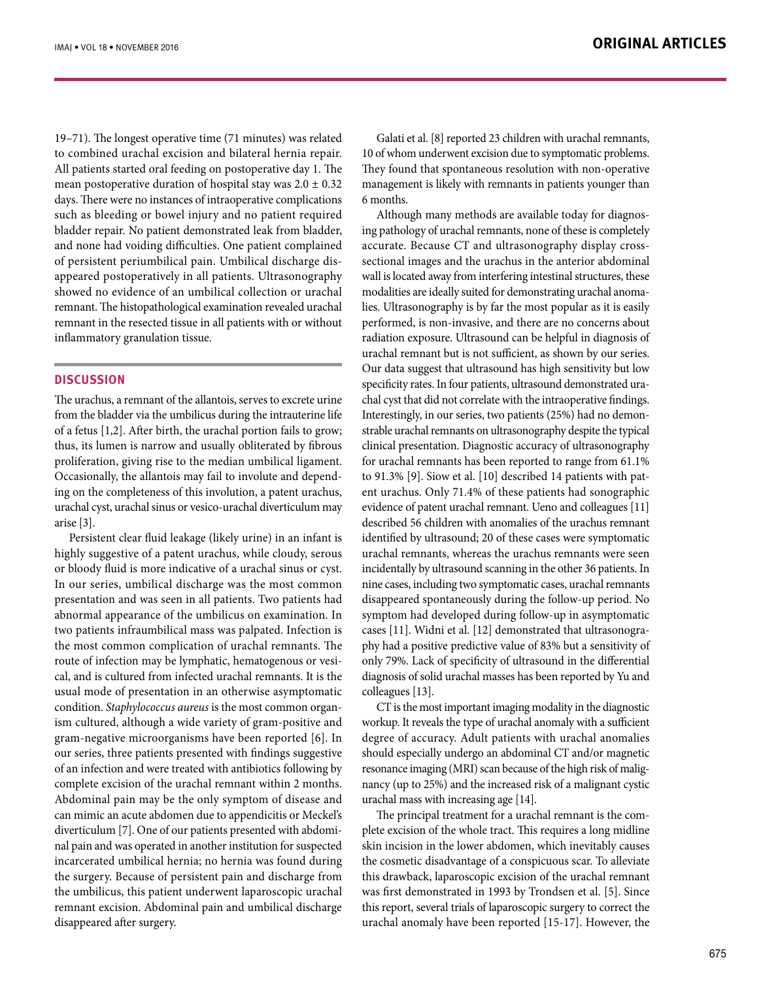19–71). The longest operative time (71 minutes) was related to combined urachal excision and bilateral hernia repair. All patients started oral feeding on postoperative day 1. The mean postoperative duration of hospital stay was  $2.0 \pm 0.32$ days. There were no instances of intraoperative complications such as bleeding or bowel injury and no patient required bladder repair. No patient demonstrated leak from bladder, and none had voiding difficulties. One patient complained of persistent periumbilical pain. Umbilical discharge disappeared postoperatively in all patients. Ultrasonography showed no evidence of an umbilical collection or urachal remnant. The histopathological examination revealed urachal remnant in the resected tissue in all patients with or without inflammatory granulation tissue.

## **DISCUSSION**

The urachus, a remnant of the allantois, serves to excrete urine from the bladder via the umbilicus during the intrauterine life of a fetus [1,2]. After birth, the urachal portion fails to grow; thus, its lumen is narrow and usually obliterated by fibrous proliferation, giving rise to the median umbilical ligament. Occasionally, the allantois may fail to involute and depending on the completeness of this involution, a patent urachus, urachal cyst, urachal sinus or vesico-urachal diverticulum may arise [3].

Persistent clear fluid leakage (likely urine) in an infant is highly suggestive of a patent urachus, while cloudy, serous or bloody fluid is more indicative of a urachal sinus or cyst. In our series, umbilical discharge was the most common presentation and was seen in all patients. Two patients had abnormal appearance of the umbilicus on examination. In two patients infraumbilical mass was palpated. Infection is the most common complication of urachal remnants. The route of infection may be lymphatic, hematogenous or vesical, and is cultured from infected urachal remnants. It is the usual mode of presentation in an otherwise asymptomatic condition. *Staphylococcus aureus* is the most common organism cultured, although a wide variety of gram-positive and gram-negative microorganisms have been reported [6]. In our series, three patients presented with findings suggestive of an infection and were treated with antibiotics following by complete excision of the urachal remnant within 2 months. Abdominal pain may be the only symptom of disease and can mimic an acute abdomen due to appendicitis or Meckel's diverticulum [7]. One of our patients presented with abdominal pain and was operated in another institution for suspected incarcerated umbilical hernia; no hernia was found during the surgery. Because of persistent pain and discharge from the umbilicus, this patient underwent laparoscopic urachal remnant excision. Abdominal pain and umbilical discharge disappeared after surgery.

Galati et al. [8] reported 23 children with urachal remnants, 10 of whom underwent excision due to symptomatic problems. They found that spontaneous resolution with non-operative management is likely with remnants in patients younger than 6 months.

Although many methods are available today for diagnosing pathology of urachal remnants, none of these is completely accurate. Because CT and ultrasonography display crosssectional images and the urachus in the anterior abdominal wall is located away from interfering intestinal structures, these modalities are ideally suited for demonstrating urachal anomalies. Ultrasonography is by far the most popular as it is easily performed, is non-invasive, and there are no concerns about radiation exposure. Ultrasound can be helpful in diagnosis of urachal remnant but is not sufficient, as shown by our series. Our data suggest that ultrasound has high sensitivity but low specificity rates. In four patients, ultrasound demonstrated urachal cyst that did not correlate with the intraoperative findings. Interestingly, in our series, two patients (25%) had no demonstrable urachal remnants on ultrasonography despite the typical clinical presentation. Diagnostic accuracy of ultrasonography for urachal remnants has been reported to range from 61.1% to 91.3% [9]. Siow et al. [10] described 14 patients with patent urachus. Only 71.4% of these patients had sonographic evidence of patent urachal remnant. Ueno and colleagues [11] described 56 children with anomalies of the urachus remnant identified by ultrasound; 20 of these cases were symptomatic urachal remnants, whereas the urachus remnants were seen incidentally by ultrasound scanning in the other 36 patients. In nine cases, including two symptomatic cases, urachal remnants disappeared spontaneously during the follow-up period. No symptom had developed during follow-up in asymptomatic cases [11]. Widni et al. [12] demonstrated that ultrasonography had a positive predictive value of 83% but a sensitivity of only 79%. Lack of specificity of ultrasound in the differential diagnosis of solid urachal masses has been reported by Yu and colleagues [13].

CT is the most important imaging modality in the diagnostic workup. It reveals the type of urachal anomaly with a sufficient degree of accuracy. Adult patients with urachal anomalies should especially undergo an abdominal CT and/or magnetic resonance imaging (MRI) scan because of the high risk of malignancy (up to 25%) and the increased risk of a malignant cystic urachal mass with increasing age [14].

The principal treatment for a urachal remnant is the complete excision of the whole tract. This requires a long midline skin incision in the lower abdomen, which inevitably causes the cosmetic disadvantage of a conspicuous scar. To alleviate this drawback, laparoscopic excision of the urachal remnant was first demonstrated in 1993 by Trondsen et al. [5]. Since this report, several trials of laparoscopic surgery to correct the urachal anomaly have been reported [15-17]. However, the